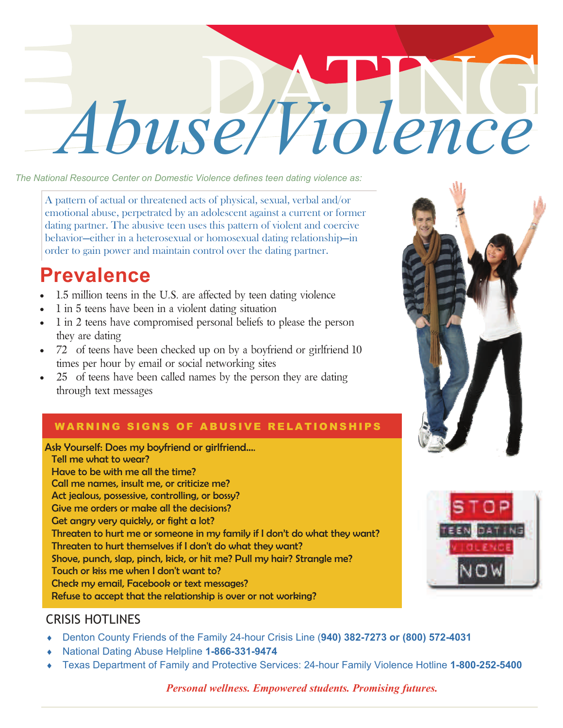# DATING *Abuse/Violence*

*The National Resource Center on Domestic Violence defines teen dating violence as:* 

A pattern of actual or threatened acts of physical, sexual, verbal and/or emotional abuse, perpetrated by an adolescent against a current or former dating partner. The abusive teen uses this pattern of violent and coercive behavior—either in a heterosexual or homosexual dating relationship—in order to gain power and maintain control over the dating partner.

## **Prevalence**

- 1.5 million teens in the U.S. are affected by teen dating violence
- 1 in 5 teens have been in a violent dating situation
- 1 in 2 teens have compromised personal beliefs to please the person they are dating
- 72 of teens have been checked up on by a boyfriend or girlfriend 10 times per hour by email or social networking sites
- 25 of teens have been called names by the person they are dating through text messages

## WARNING SIGNS OF ABUSIVE RELATIONSHIPS





## CRISIS HOTLINES

- Denton County Friends of the Family 24-hour Crisis Line (**940) 382-7273 or (800) 572-4031**
- National Dating Abuse Helpline **1-866-331-9474**
- Texas Department of Family and Protective Services: 24-hour Family Violence Hotline **1-800-252-5400**

*Personal wellness. Empowered students. Promising futures.*